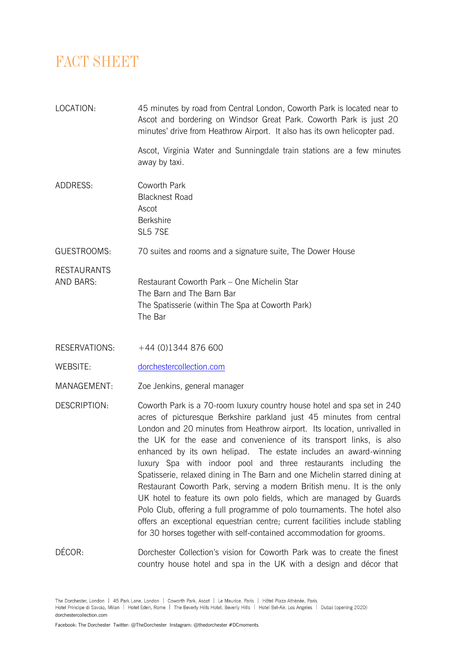## *FACT SHEET*

| LOCATION:                       | 45 minutes by road from Central London, Coworth Park is located near to<br>Ascot and bordering on Windsor Great Park. Coworth Park is just 20<br>minutes' drive from Heathrow Airport. It also has its own helicopter pad.                                                                                                                                                                                                                                                                                                                                                                                                                                                 |
|---------------------------------|----------------------------------------------------------------------------------------------------------------------------------------------------------------------------------------------------------------------------------------------------------------------------------------------------------------------------------------------------------------------------------------------------------------------------------------------------------------------------------------------------------------------------------------------------------------------------------------------------------------------------------------------------------------------------|
|                                 | Ascot, Virginia Water and Sunningdale train stations are a few minutes<br>away by taxi.                                                                                                                                                                                                                                                                                                                                                                                                                                                                                                                                                                                    |
| ADDRESS:                        | Coworth Park<br><b>Blacknest Road</b><br>Ascot<br><b>Berkshire</b><br>SL5 7SE                                                                                                                                                                                                                                                                                                                                                                                                                                                                                                                                                                                              |
| GUESTROOMS:                     | 70 suites and rooms and a signature suite, The Dower House                                                                                                                                                                                                                                                                                                                                                                                                                                                                                                                                                                                                                 |
| <b>RESTAURANTS</b><br>AND BARS: | Restaurant Coworth Park - One Michelin Star<br>The Barn and The Barn Bar<br>The Spatisserie (within The Spa at Coworth Park)<br>The Bar                                                                                                                                                                                                                                                                                                                                                                                                                                                                                                                                    |
| RESERVATIONS:                   | $+44$ (0)1344 876 600                                                                                                                                                                                                                                                                                                                                                                                                                                                                                                                                                                                                                                                      |
| <b>WEBSITE:</b>                 | dorchestercollection.com                                                                                                                                                                                                                                                                                                                                                                                                                                                                                                                                                                                                                                                   |
| MANAGEMENT:                     | Zoe Jenkins, general manager                                                                                                                                                                                                                                                                                                                                                                                                                                                                                                                                                                                                                                               |
| DESCRIPTION:                    | Coworth Park is a 70-room luxury country house hotel and spa set in 240<br>acres of picturesque Berkshire parkland just 45 minutes from central<br>London and 20 minutes from Heathrow airport. Its location, unrivalled in<br>the UK for the ease and convenience of its transport links, is also<br>enhanced by its own helipad. The estate includes an award-winning<br>luxury Spa with indoor pool and three restaurants including the<br>Spatisserie, relaxed dining in The Barn and one Michelin starred dining at<br>Restaurant Coworth Park, serving a modern British menu. It is the only<br>UK hotel to feature its own polo fields, which are managed by Guards |

DÉCOR: DOICHESTER Collection's vision for Coworth Park was to create the finest country house hotel and spa in the UK with a design and décor that

Polo Club, offering a full programme of polo tournaments. The hotel also offers an exceptional equestrian centre; current facilities include stabling for 30 horses together with self-contained accommodation for grooms.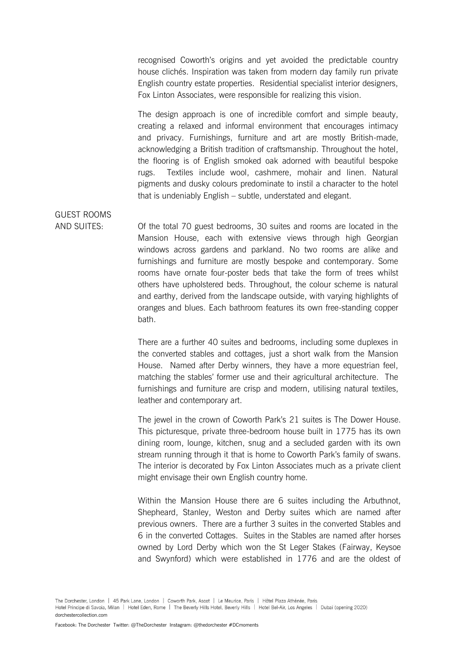recognised Coworth's origins and yet avoided the predictable country house clichés. Inspiration was taken from modern day family run private English country estate properties. Residential specialist interior designers, Fox Linton Associates, were responsible for realizing this vision.

The design approach is one of incredible comfort and simple beauty, creating a relaxed and informal environment that encourages intimacy and privacy. Furnishings, furniture and art are mostly British-made, acknowledging a British tradition of craftsmanship. Throughout the hotel, the flooring is of English smoked oak adorned with beautiful bespoke rugs. Textiles include wool, cashmere, mohair and linen. Natural pigments and dusky colours predominate to instil a character to the hotel that is undeniably English – subtle, understated and elegant.

## GUEST ROOMS

AND SUITES: Of the total 70 guest bedrooms, 30 suites and rooms are located in the Mansion House, each with extensive views through high Georgian windows across gardens and parkland. No two rooms are alike and furnishings and furniture are mostly bespoke and contemporary. Some rooms have ornate four-poster beds that take the form of trees whilst others have upholstered beds. Throughout, the colour scheme is natural and earthy, derived from the landscape outside, with varying highlights of oranges and blues. Each bathroom features its own free-standing copper bath.

> There are a further 40 suites and bedrooms, including some duplexes in the converted stables and cottages, just a short walk from the Mansion House. Named after Derby winners, they have a more equestrian feel, matching the stables' former use and their agricultural architecture. The furnishings and furniture are crisp and modern, utilising natural textiles, leather and contemporary art.

The jewel in the crown of Coworth Park's 21 suites is The Dower House. This picturesque, private three-bedroom house built in 1775 has its own dining room, lounge, kitchen, snug and a secluded garden with its own stream running through it that is home to Coworth Park's family of swans. The interior is decorated by Fox Linton Associates much as a private client might envisage their own English country home.

Within the Mansion House there are 6 suites including the Arbuthnot, Shepheard, Stanley, Weston and Derby suites which are named after previous owners. There are a further 3 suites in the converted Stables and 6 in the converted Cottages. Suites in the Stables are named after horses owned by Lord Derby which won the St Leger Stakes (Fairway, Keysoe and Swynford) which were established in 1776 and are the oldest of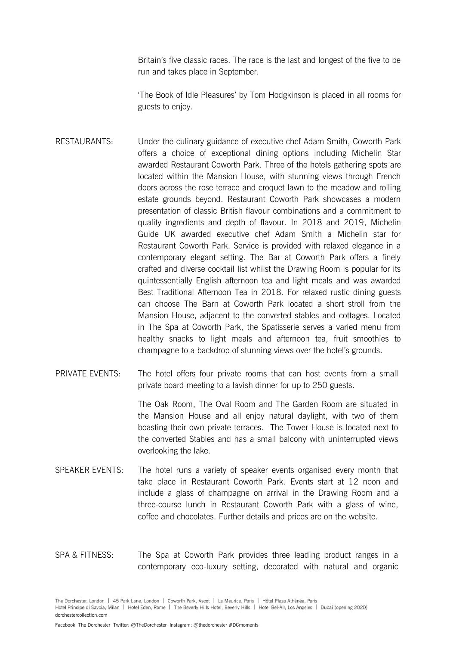Britain's five classic races. The race is the last and longest of the five to be run and takes place in September.

'The Book of Idle Pleasures' by Tom Hodgkinson is placed in all rooms for guests to enjoy.

- RESTAURANTS: Under the culinary guidance of executive chef Adam Smith, Coworth Park offers a choice of exceptional dining options including Michelin Star awarded Restaurant Coworth Park. Three of the hotels gathering spots are located within the Mansion House, with stunning views through French doors across the rose terrace and croquet lawn to the meadow and rolling estate grounds beyond. Restaurant Coworth Park showcases a modern presentation of classic British flavour combinations and a commitment to quality ingredients and depth of flavour. In 2018 and 2019, Michelin Guide UK awarded executive chef Adam Smith a Michelin star for Restaurant Coworth Park. Service is provided with relaxed elegance in a contemporary elegant setting. The Bar at Coworth Park offers a finely crafted and diverse cocktail list whilst the Drawing Room is popular for its quintessentially English afternoon tea and light meals and was awarded Best Traditional Afternoon Tea in 2018. For relaxed rustic dining guests can choose The Barn at Coworth Park located a short stroll from the Mansion House, adjacent to the converted stables and cottages. Located in The Spa at Coworth Park, the Spatisserie serves a varied menu from healthy snacks to light meals and afternoon tea, fruit smoothies to champagne to a backdrop of stunning views over the hotel's grounds.
- PRIVATE EVENTS: The hotel offers four private rooms that can host events from a small private board meeting to a lavish dinner for up to 250 guests.

The Oak Room, The Oval Room and The Garden Room are situated in the Mansion House and all enjoy natural daylight, with two of them boasting their own private terraces. The Tower House is located next to the converted Stables and has a small balcony with uninterrupted views overlooking the lake.

- SPEAKER EVENTS: The hotel runs a variety of speaker events organised every month that take place in Restaurant Coworth Park. Events start at 12 noon and include a glass of champagne on arrival in the Drawing Room and a three-course lunch in Restaurant Coworth Park with a glass of wine, coffee and chocolates. Further details and prices are on the website.
- SPA & FITNESS: The Spa at Coworth Park provides three leading product ranges in a contemporary eco-luxury setting, decorated with natural and organic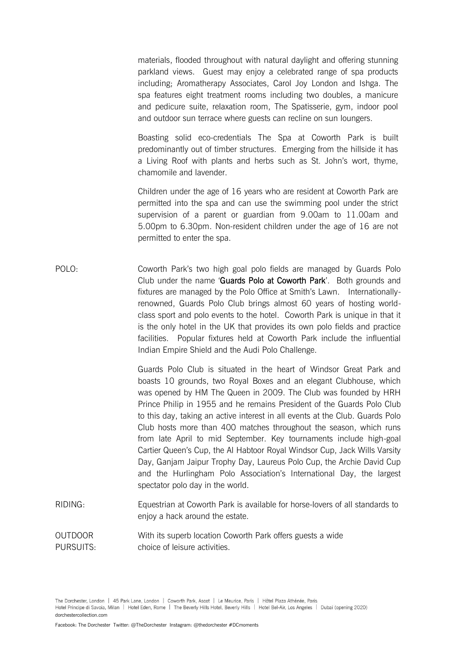materials, flooded throughout with natural daylight and offering stunning parkland views. Guest may enjoy a celebrated range of spa products including; Aromatherapy Associates, Carol Joy London and Ishga. The spa features eight treatment rooms including two doubles, a manicure and pedicure suite, relaxation room, The Spatisserie, gym, indoor pool and outdoor sun terrace where guests can recline on sun loungers.

Boasting solid eco-credentials The Spa at Coworth Park is built predominantly out of timber structures. Emerging from the hillside it has a Living Roof with plants and herbs such as St. John's wort, thyme, chamomile and lavender.

Children under the age of 16 years who are resident at Coworth Park are permitted into the spa and can use the swimming pool under the strict supervision of a parent or guardian from 9.00am to 11.00am and 5.00pm to 6.30pm. Non-resident children under the age of 16 are not permitted to enter the spa.

POLO: Coworth Park's two high goal polo fields are managed by Guards Polo Club under the name 'Guards Polo at Coworth Park'. Both grounds and fixtures are managed by the Polo Office at Smith's Lawn. Internationallyrenowned, Guards Polo Club brings almost 60 years of hosting worldclass sport and polo events to the hotel. Coworth Park is unique in that it is the only hotel in the UK that provides its own polo fields and practice facilities. Popular fixtures held at Coworth Park include the influential Indian Empire Shield and the Audi Polo Challenge.

> Guards Polo Club is situated in the heart of Windsor Great Park and boasts 10 grounds, two Royal Boxes and an elegant Clubhouse, which was opened by HM The Queen in 2009. The Club was founded by HRH Prince Philip in 1955 and he remains President of the Guards Polo Club to this day, taking an active interest in all events at the Club. Guards Polo Club hosts more than 400 matches throughout the season, which runs from late April to mid September. Key tournaments include high-goal Cartier Queen's Cup, the Al Habtoor Royal Windsor Cup, Jack Wills Varsity Day, Ganjam Jaipur Trophy Day, Laureus Polo Cup, the Archie David Cup and the Hurlingham Polo Association's International Day, the largest spectator polo day in the world.

- RIDING: Equestrian at Coworth Park is available for horse-lovers of all standards to enjoy a hack around the estate.
- OUTDOOR With its superb location Coworth Park offers guests a wide PURSUITS: choice of leisure activities.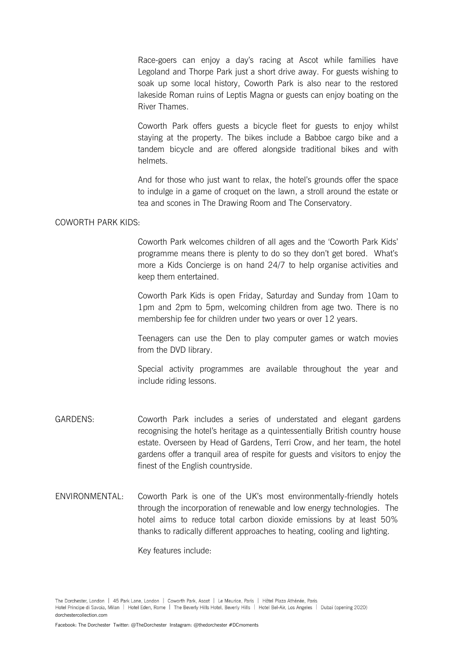Race-goers can enjoy a day's racing at Ascot while families have Legoland and Thorpe Park just a short drive away. For guests wishing to soak up some local history, Coworth Park is also near to the restored lakeside Roman ruins of Leptis Magna or guests can enjoy boating on the River Thames.

Coworth Park offers guests a bicycle fleet for guests to enjoy whilst staying at the property. The bikes include a Babboe cargo bike and a tandem bicycle and are offered alongside traditional bikes and with helmets.

And for those who just want to relax, the hotel's grounds offer the space to indulge in a game of croquet on the lawn, a stroll around the estate or tea and scones in The Drawing Room and The Conservatory.

## COWORTH PARK KIDS:

Coworth Park welcomes children of all ages and the 'Coworth Park Kids' programme means there is plenty to do so they don't get bored. What's more a Kids Concierge is on hand 24/7 to help organise activities and keep them entertained.

Coworth Park Kids is open Friday, Saturday and Sunday from 10am to 1pm and 2pm to 5pm, welcoming children from age two. There is no membership fee for children under two years or over 12 years.

Teenagers can use the Den to play computer games or watch movies from the DVD library.

Special activity programmes are available throughout the year and include riding lessons.

- GARDENS: Coworth Park includes a series of understated and elegant gardens recognising the hotel's heritage as a quintessentially British country house estate. Overseen by Head of Gardens, Terri Crow, and her team, the hotel gardens offer a tranquil area of respite for guests and visitors to enjoy the finest of the English countryside.
- ENVIRONMENTAL: Coworth Park is one of the UK's most environmentally-friendly hotels through the incorporation of renewable and low energy technologies. The hotel aims to reduce total carbon dioxide emissions by at least 50% thanks to radically different approaches to heating, cooling and lighting.

Key features include: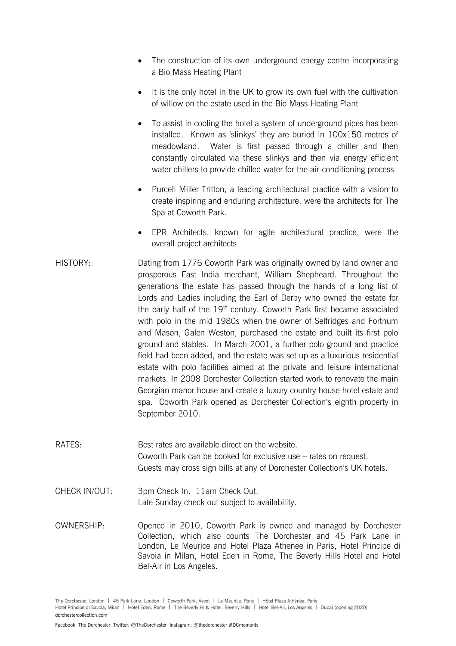- The construction of its own underground energy centre incorporating a Bio Mass Heating Plant
- It is the only hotel in the UK to grow its own fuel with the cultivation of willow on the estate used in the Bio Mass Heating Plant
- To assist in cooling the hotel a system of underground pipes has been installed. Known as 'slinkys' they are buried in 100x150 metres of meadowland. Water is first passed through a chiller and then constantly circulated via these slinkys and then via energy efficient water chillers to provide chilled water for the air-conditioning process
- Purcell Miller Tritton, a leading architectural practice with a vision to create inspiring and enduring architecture, were the architects for The Spa at Coworth Park.
- EPR Architects, known for agile architectural practice, were the overall project architects
- HISTORY: Dating from 1776 Coworth Park was originally owned by land owner and prosperous East India merchant, William Shepheard. Throughout the generations the estate has passed through the hands of a long list of Lords and Ladies including the Earl of Derby who owned the estate for the early half of the  $19<sup>th</sup>$  century. Coworth Park first became associated with polo in the mid 1980s when the owner of Selfridges and Fortnum and Mason, Galen Weston, purchased the estate and built its first polo ground and stables. In March 2001, a further polo ground and practice field had been added, and the estate was set up as a luxurious residential estate with polo facilities aimed at the private and leisure international markets. In 2008 Dorchester Collection started work to renovate the main Georgian manor house and create a luxury country house hotel estate and spa. Coworth Park opened as Dorchester Collection's eighth property in September 2010.
- RATES: Best rates are available direct on the website. Coworth Park can be booked for exclusive use – rates on request. Guests may cross sign bills at any of Dorchester Collection's UK hotels.
- CHECK IN/OUT: 3pm Check In. 11am Check Out. Late Sunday check out subject to availability.
- OWNERSHIP: Opened in 2010, Coworth Park is owned and managed by Dorchester Collection, which also counts The Dorchester and 45 Park Lane in London, Le Meurice and Hotel Plaza Athenee in Paris, Hotel Principe di Savoia in Milan, Hotel Eden in Rome, The Beverly Hills Hotel and Hotel Bel-Air in Los Angeles.